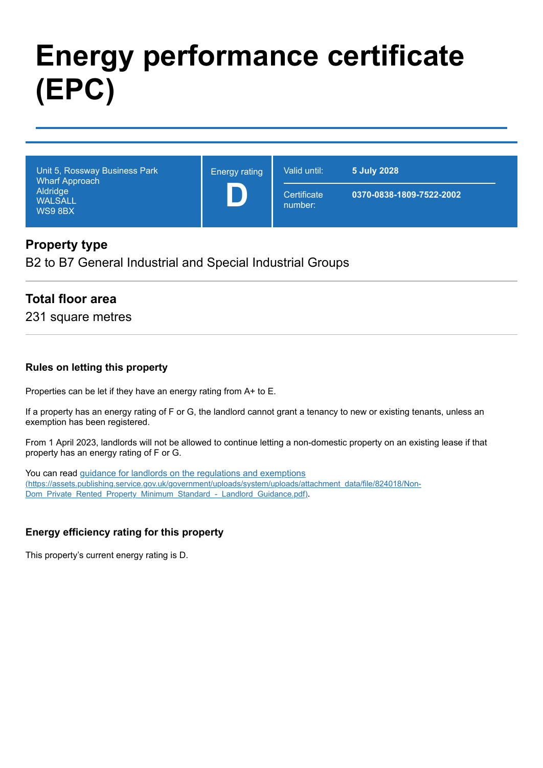# **Energy performance certificate (EPC)**

| Unit 5, Rossway Business Park<br><b>Wharf Approach</b><br>Aldridge<br><b>WALSALL</b><br>WS9 8BX | <b>Energy rating</b> | Valid until:           | 5 July 2028              |
|-------------------------------------------------------------------------------------------------|----------------------|------------------------|--------------------------|
|                                                                                                 |                      | Certificate<br>number: | 0370-0838-1809-7522-2002 |

#### **Property type**

B2 to B7 General Industrial and Special Industrial Groups

## **Total floor area**

231 square metres

#### **Rules on letting this property**

Properties can be let if they have an energy rating from A+ to E.

If a property has an energy rating of F or G, the landlord cannot grant a tenancy to new or existing tenants, unless an exemption has been registered.

From 1 April 2023, landlords will not be allowed to continue letting a non-domestic property on an existing lease if that property has an energy rating of F or G.

You can read guidance for landlords on the regulations and exemptions [\(https://assets.publishing.service.gov.uk/government/uploads/system/uploads/attachment\\_data/file/824018/Non-](https://assets.publishing.service.gov.uk/government/uploads/system/uploads/attachment_data/file/824018/Non-Dom_Private_Rented_Property_Minimum_Standard_-_Landlord_Guidance.pdf)Dom\_Private\_Rented\_Property\_Minimum\_Standard - Landlord\_Guidance.pdf).

#### **Energy efficiency rating for this property**

This property's current energy rating is D.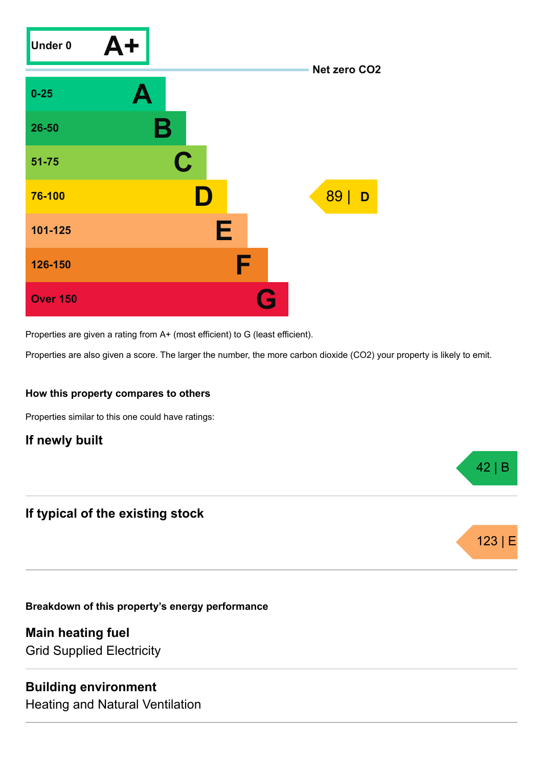

Properties are given a rating from A+ (most efficient) to G (least efficient).

Properties are also given a score. The larger the number, the more carbon dioxide (CO2) your property is likely to emit.

42 | B

123 |

#### **How this property compares to others**

Properties similar to this one could have ratings:

## **If newly built**

## **If typical of the existing stock**

**Breakdown of this property's energy performance**

**Main heating fuel** Grid Supplied Electricity

#### **Building environment**

Heating and Natural Ventilation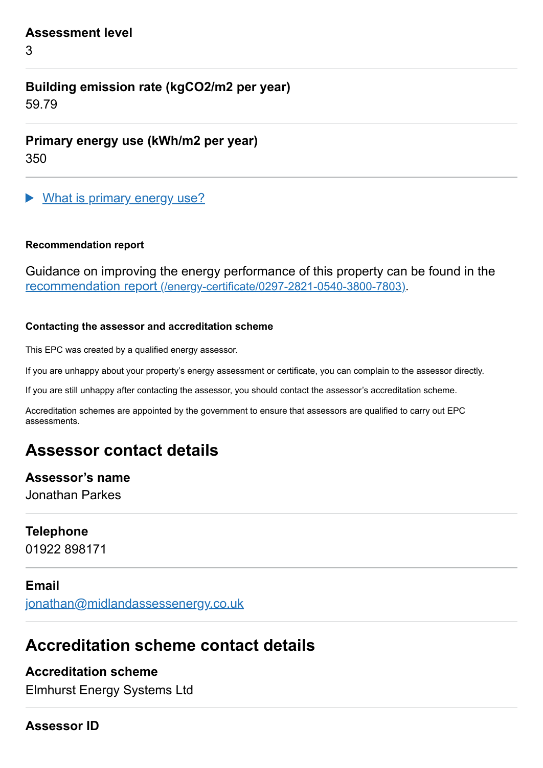#### **Assessment level**

3

# **Building emission rate (kgCO2/m2 per year)**

59.79

**Primary energy use (kWh/m2 per year)**

350

What is primary energy use?

#### **Recommendation report**

Guidance on improving the energy performance of this property can be found in the recommendation report [\(/energy-certificate/0297-2821-0540-3800-7803\)](https://find-energy-certificate.service.gov.uk/energy-certificate/0297-2821-0540-3800-7803).

#### **Contacting the assessor and accreditation scheme**

This EPC was created by a qualified energy assessor.

If you are unhappy about your property's energy assessment or certificate, you can complain to the assessor directly.

If you are still unhappy after contacting the assessor, you should contact the assessor's accreditation scheme.

Accreditation schemes are appointed by the government to ensure that assessors are qualified to carry out EPC assessments.

# **Assessor contact details**

#### **Assessor's name**

Jonathan Parkes

#### **Telephone**

01922 898171

#### **Email**

[jonathan@midlandassessenergy.co.uk](mailto:jonathan@midlandassessenergy.co.uk)

# **Accreditation scheme contact details**

# **Accreditation scheme**

Elmhurst Energy Systems Ltd

#### **Assessor ID**